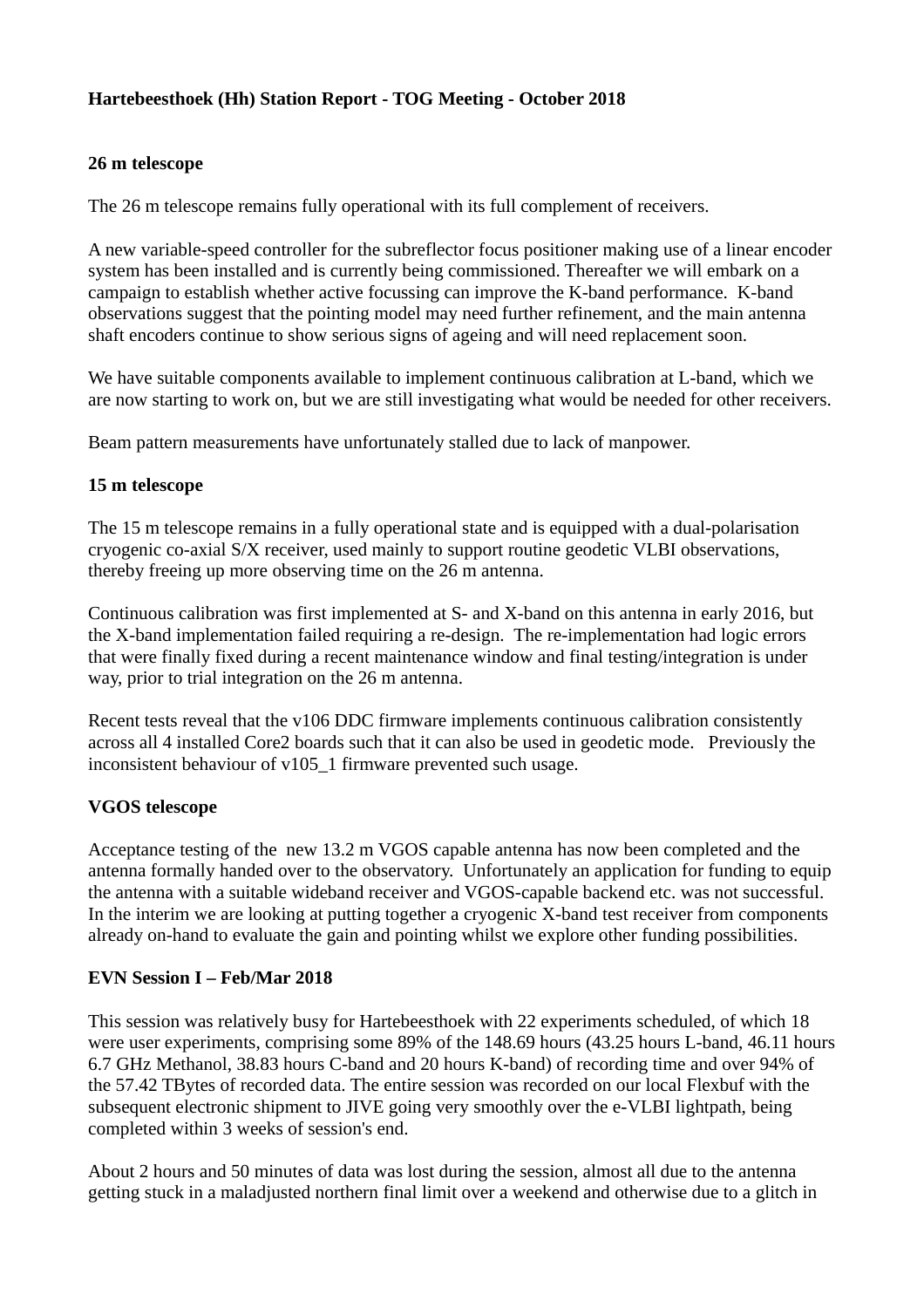### **Hartebeesthoek (Hh) Station Report - TOG Meeting - October 2018**

#### **26 m telescope**

The 26 m telescope remains fully operational with its full complement of receivers.

A new variable-speed controller for the subreflector focus positioner making use of a linear encoder system has been installed and is currently being commissioned. Thereafter we will embark on a campaign to establish whether active focussing can improve the K-band performance. K-band observations suggest that the pointing model may need further refinement, and the main antenna shaft encoders continue to show serious signs of ageing and will need replacement soon.

We have suitable components available to implement continuous calibration at L-band, which we are now starting to work on, but we are still investigating what would be needed for other receivers.

Beam pattern measurements have unfortunately stalled due to lack of manpower.

#### **15 m telescope**

The 15 m telescope remains in a fully operational state and is equipped with a dual-polarisation cryogenic co-axial S/X receiver, used mainly to support routine geodetic VLBI observations, thereby freeing up more observing time on the 26 m antenna.

Continuous calibration was first implemented at S- and X-band on this antenna in early 2016, but the X-band implementation failed requiring a re-design. The re-implementation had logic errors that were finally fixed during a recent maintenance window and final testing/integration is under way, prior to trial integration on the 26 m antenna.

Recent tests reveal that the v106 DDC firmware implements continuous calibration consistently across all 4 installed Core2 boards such that it can also be used in geodetic mode. Previously the inconsistent behaviour of v105\_1 firmware prevented such usage.

### **VGOS telescope**

Acceptance testing of the new 13.2 m VGOS capable antenna has now been completed and the antenna formally handed over to the observatory. Unfortunately an application for funding to equip the antenna with a suitable wideband receiver and VGOS-capable backend etc. was not successful. In the interim we are looking at putting together a cryogenic X-band test receiver from components already on-hand to evaluate the gain and pointing whilst we explore other funding possibilities.

#### **EVN Session I – Feb/Mar 2018**

This session was relatively busy for Hartebeesthoek with 22 experiments scheduled, of which 18 were user experiments, comprising some 89% of the 148.69 hours (43.25 hours L-band, 46.11 hours 6.7 GHz Methanol, 38.83 hours C-band and 20 hours K-band) of recording time and over 94% of the 57.42 TBytes of recorded data. The entire session was recorded on our local Flexbuf with the subsequent electronic shipment to JIVE going very smoothly over the e-VLBI lightpath, being completed within 3 weeks of session's end.

About 2 hours and 50 minutes of data was lost during the session, almost all due to the antenna getting stuck in a maladjusted northern final limit over a weekend and otherwise due to a glitch in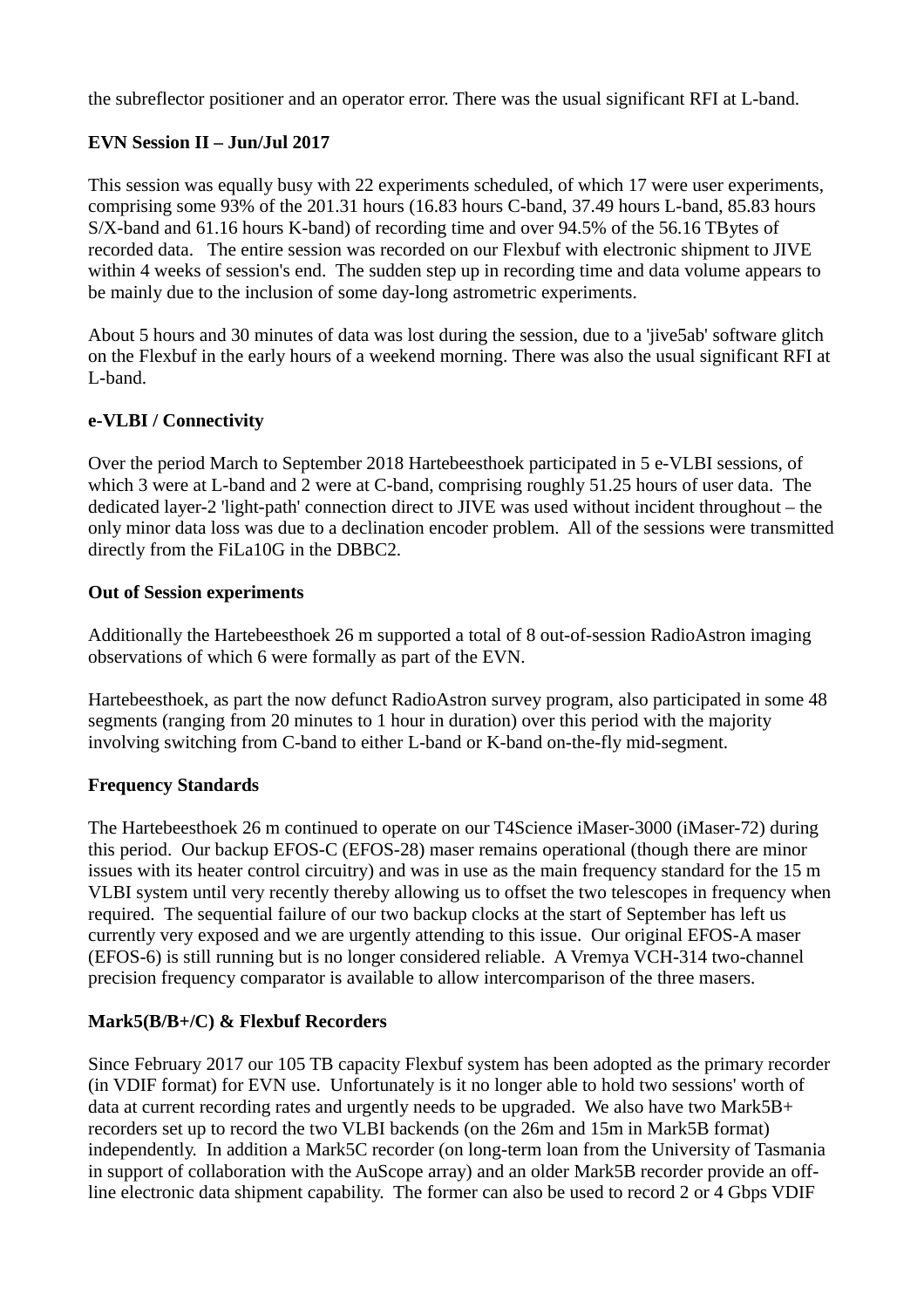the subreflector positioner and an operator error. There was the usual significant RFI at L-band.

### **EVN Session II – Jun/Jul 2017**

This session was equally busy with 22 experiments scheduled, of which 17 were user experiments, comprising some 93% of the 201.31 hours (16.83 hours C-band, 37.49 hours L-band, 85.83 hours S/X-band and 61.16 hours K-band) of recording time and over 94.5% of the 56.16 TBytes of recorded data. The entire session was recorded on our Flexbuf with electronic shipment to JIVE within 4 weeks of session's end. The sudden step up in recording time and data volume appears to be mainly due to the inclusion of some day-long astrometric experiments.

About 5 hours and 30 minutes of data was lost during the session, due to a 'jive5ab' software glitch on the Flexbuf in the early hours of a weekend morning. There was also the usual significant RFI at L-band.

### **e-VLBI / Connectivity**

Over the period March to September 2018 Hartebeesthoek participated in 5 e-VLBI sessions, of which 3 were at L-band and 2 were at C-band, comprising roughly 51.25 hours of user data. The dedicated layer-2 'light-path' connection direct to JIVE was used without incident throughout – the only minor data loss was due to a declination encoder problem. All of the sessions were transmitted directly from the FiLa10G in the DBBC2.

### **Out of Session experiments**

Additionally the Hartebeesthoek 26 m supported a total of 8 out-of-session RadioAstron imaging observations of which 6 were formally as part of the EVN.

Hartebeesthoek, as part the now defunct RadioAstron survey program, also participated in some 48 segments (ranging from 20 minutes to 1 hour in duration) over this period with the majority involving switching from C-band to either L-band or K-band on-the-fly mid-segment.

### **Frequency Standards**

The Hartebeesthoek 26 m continued to operate on our T4Science iMaser-3000 (iMaser-72) during this period. Our backup EFOS-C (EFOS-28) maser remains operational (though there are minor issues with its heater control circuitry) and was in use as the main frequency standard for the 15 m VLBI system until very recently thereby allowing us to offset the two telescopes in frequency when required. The sequential failure of our two backup clocks at the start of September has left us currently very exposed and we are urgently attending to this issue. Our original EFOS-A maser (EFOS-6) is still running but is no longer considered reliable. A Vremya VCH-314 two-channel precision frequency comparator is available to allow intercomparison of the three masers.

### **Mark5(B/B+/C) & Flexbuf Recorders**

Since February 2017 our 105 TB capacity Flexbuf system has been adopted as the primary recorder (in VDIF format) for EVN use. Unfortunately is it no longer able to hold two sessions' worth of data at current recording rates and urgently needs to be upgraded. We also have two Mark5B+ recorders set up to record the two VLBI backends (on the 26m and 15m in Mark5B format) independently. In addition a Mark5C recorder (on long-term loan from the University of Tasmania in support of collaboration with the AuScope array) and an older Mark5B recorder provide an offline electronic data shipment capability. The former can also be used to record 2 or 4 Gbps VDIF